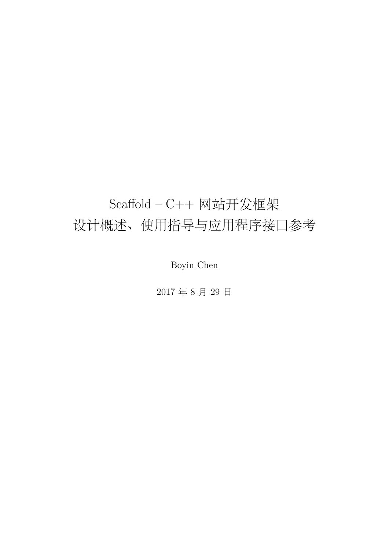# Scaffold - C++ 网站开发框架 设计概述、使用指导与应用程序接口参考

Boyin Chen

2017 年 8 ⽉ 29 ⽇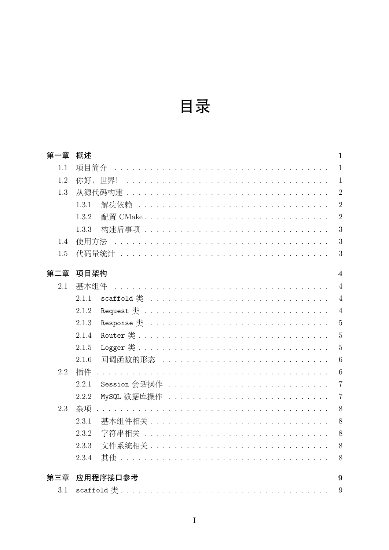| . . |
|-----|

| 第一章 | 概述                                                  | $\mathbf{1}$    |
|-----|-----------------------------------------------------|-----------------|
| 1.1 | 项目简介                                                | $\mathbf{1}$    |
| 1.2 | 你好,世界!                                              | $\mathbf{1}$    |
| 1.3 |                                                     | $\overline{2}$  |
|     | 1.3.1<br>解决依赖                                       | $\overline{2}$  |
|     | 1.3.2                                               | $\overline{2}$  |
|     | 1.3.3<br>构建后事项 ...................................  | 3               |
| 1.4 | 使用方法                                                | 3               |
| 1.5 |                                                     | 3               |
|     |                                                     |                 |
| 第二章 | 项目架构                                                | $\overline{4}$  |
| 2.1 | 基本组件                                                | $\overline{4}$  |
|     | 2.1.1                                               | $\overline{4}$  |
|     | 2.1.2                                               | $\overline{4}$  |
|     | 2.1.3                                               | $\overline{5}$  |
|     | 2.1.4                                               | $\overline{5}$  |
|     | 2.1.5                                               | $\overline{5}$  |
|     | 2.1.6<br>回调函数的形态 .................................. | $6\phantom{.}6$ |
| 2.2 | 插件                                                  | $6\phantom{.}6$ |
|     | 2.2.1                                               | $\overline{7}$  |
|     | 2.2.2                                               | $\overline{7}$  |
| 2.3 | 杂项                                                  | 8               |
|     | 2.3.1                                               | 8               |
|     | 2.3.2<br>字符串相关                                      | 8               |
|     | 2.3.3                                               | 8               |
|     | 2.3.4                                               | 8               |
| 第三章 | 应用程序接口参考                                            | 9               |
| 3.1 |                                                     | 9               |
|     |                                                     |                 |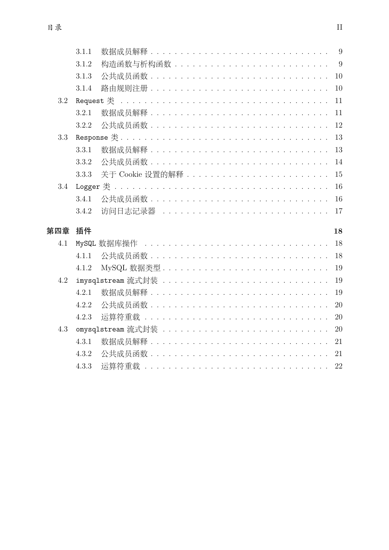|     | 3.1.1 |               |
|-----|-------|---------------|
|     | 3.1.2 |               |
|     | 3.1.3 | 10            |
|     | 3.1.4 | 10            |
| 3.2 |       | 11            |
|     | 3.2.1 | 11            |
|     | 3.2.2 | 12            |
| 3.3 |       | 13            |
|     | 3.3.1 | 13            |
|     | 3.3.2 | 14            |
|     | 3.3.3 | 15            |
| 3.4 |       | 16            |
|     | 3.4.1 | 16            |
|     | 3.4.2 | 访问日志记录器<br>17 |
| 第四章 | 插件    | 18            |
| 4.1 |       | 18            |
|     | 4.1.1 |               |
|     | 4.1.2 | 19            |
| 4.2 |       | 19            |
|     | 4.2.1 | 19            |
|     | 4.2.2 | 20            |
|     | 4.2.3 | 20            |
| 4.3 |       | 20            |
|     | 4.3.1 |               |
|     | 4.3.2 |               |
|     | 4.3.3 | 22            |
|     |       |               |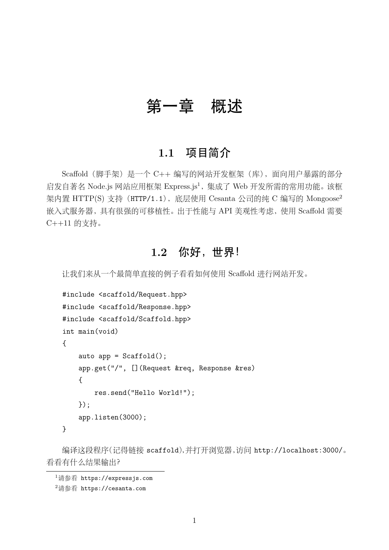# 第一章 概述

## **1.1** 项目简介

Scaffold(脚手架)是一个 C++ 编写的网站开发框架(库), 面向用户暴露的部分 启发自著名 Node.js 网站应用框架 Express.js<sup>1</sup>, 集成了 Web 开发所需的常用功能。该框 架内置 HTTP(S) 支持 (HTTP/1.1), 底层使用 Cesanta 公司的纯 C 编写的 Mongoose<sup>2</sup> 嵌入式服务器,具有很强的可移植性。出于性能与 API 美观性考虑, 使用 Scaffold 需要  $C++11$  的支持。

## **1.2** 你好,世界!

让我们来从一个最简单直接的例子看看如何使用 Scaffold 进行网站开发。

```
#include <scaffold/Request.hpp>
#include <scaffold/Response.hpp>
#include <scaffold/Scaffold.hpp>
int main(void)
{
    auto app = Scaffold();
    app.get("/", [](Request &req, Response &res)
    {
        res.send("Hello World!");
    });
    app.listen(3000);
}
```
编译这段程序(记得链接 scaffold),并打开浏览器,访问 http://localhost:3000/。 看看有什么结果输出?

 $^{1}$ 请参看 https://expressjs.com

<sup>2</sup>请参看 https://cesanta.com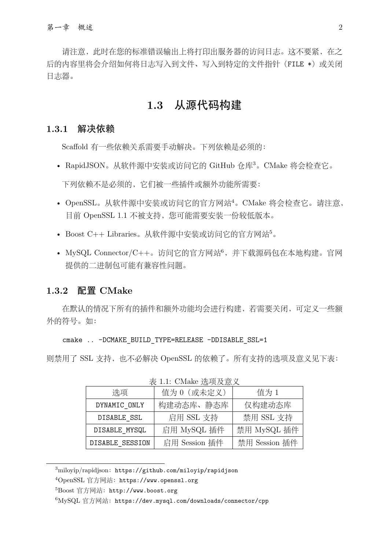请注意, 此时在您的标准错误输出上将打印出服务器的访问日志。这不要紧, 在之 后的内容里将会介绍如何将日志写入到文件、写入到特定的文件指针(FILE \*)或关闭 ⽇志器。

## **1.3** 从源代码构建

#### **1.3.1** 解决依赖

Scaffold 有一些依赖关系需要手动解决。下列依赖是必须的:

- RapidJSON。从软件源中安装或访问它的 GitHub 仓库<sup>3</sup>。CMake 将会检查它。 下列依赖不是必须的,它们被一些插件或额外功能所需要:
- OpenSSL。从软件源中安装或访问它的官方网站<sup>4</sup>。CMake 将会检查它。请注意, 目前 OpenSSL 1.1 不被支持, 您可能需要安装一份较低版本。
- Boost  $C_{++}$  Libraries。从软件源中安装或访问它的官方网站 $5$ 。
- MySQL Connector/C++。访问它的官方网站 $^6$ , 并下载源码包在本地构建。官网 提供的二进制包可能有兼容性问题。

#### **1.3.2** 配置 **CMake**

在默认的情况下所有的插件和额外功能均会进行构建,若需要关闭,可定义一些额 外的符号。如:

#### cmake .. -DCMAKE\_BUILD\_TYPE=RELEASE\_-DDISABLE\_SSL=1

则禁用了 SSL 支持, 也不必解决 OpenSSL 的依赖了。所有支持的选项及意义见下表:

| 农 1.1. UNIUNU PULKA H. X |               |               |  |  |  |
|--------------------------|---------------|---------------|--|--|--|
| 洗项                       | 值为 0 (或未定义)   | 值为 1          |  |  |  |
| DYNAMIC ONLY             | 构建动态库、静态库     | 仅构建动态库        |  |  |  |
| DISABLE SSL              | 启用 SSL 支持     | 禁用 SSL 支持     |  |  |  |
| DISABLE MYSQL            | 启用 MySQL 插件   | 禁用 MySQL 插件   |  |  |  |
| DISABLE SESSION          | 启用 Session 插件 | 禁用 Session 插件 |  |  |  |

丰 1.1: CMake 选项及音义

 $3$ miloyip/rapidjson: https://github.com/miloyip/rapidjson

<sup>&</sup>lt;sup>4</sup>OpenSSL 官方网站: https://www.openssl.org

<sup>&</sup>lt;sup>5</sup>Boost 官方网站: http://www.boost.org

 $6MySQL$  官方网站: https://dev.mysql.com/downloads/connector/cpp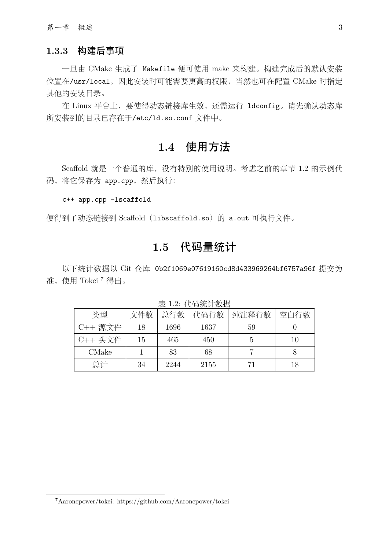#### **1.3.3** 构建后事项

一旦由 CMake 生成了 Makefile 便可使用 make 来构建。构建完成后的默认安装 位置在/usr/local,因此安装时可能需要更高的权限,当然也可在配置 CMake 时指定 其他的安装目录。

在 Linux 平台上, 要使得动态链接库生效, 还需运行 ldconfig。请先确认动态库 所安装到的⽬录已存在于/etc/ld.so.conf ⽂件中。

## **1.4** 使用方法

Scaffold 就是一个普通的库, 没有特别的使用说明。考虑之前的章节 1.2 的示例代 码, 将它保存为 app.cpp, 然后执行:

#### c++ app.cpp -lscaffold

便得到了动态链接到 Scaffold (libscaffold.so) 的 a.out 可执行文件。

## **1.5** 代码量统计

以下统计数据以 Git 仓库 0b2f1069e07619160cd8d433969264bf6757a96f 提交为 准, 使用 Tokei<sup>7</sup> 得出。

| $\sim$ $\sim$ $\sim$ $\sim$ $\sim$ $\sim$<br>$\frac{1}{2}$ $\frac{1}{2}$ $\frac{1}{2}$ $\frac{1}{2}$ $\frac{1}{2}$ $\frac{1}{2}$ $\frac{1}{2}$ $\frac{1}{2}$ $\frac{1}{2}$ $\frac{1}{2}$ $\frac{1}{2}$ $\frac{1}{2}$ |     |      |      |       |      |
|----------------------------------------------------------------------------------------------------------------------------------------------------------------------------------------------------------------------|-----|------|------|-------|------|
| 类型                                                                                                                                                                                                                   | 文件数 | 总行数  | 代码行数 | 纯注释行数 | 空白行数 |
| C++ 源文件                                                                                                                                                                                                              | 18  | 1696 | 1637 | 59    |      |
| C++ 头文件                                                                                                                                                                                                              | 15  | 465  | 450  |       | 10   |
| CMake                                                                                                                                                                                                                |     | 83   | 68   |       |      |
| 总计                                                                                                                                                                                                                   | 34  | 2244 | 2155 | 71    | 18   |

表 1.2: 代码统计数据

<sup>7</sup>Aaronepower/tokei: https://github.com/Aaronepower/tokei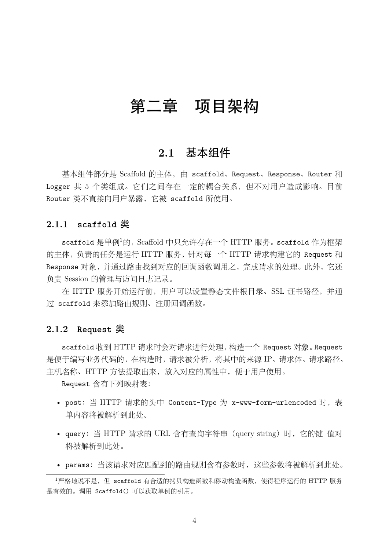# 第二章 项目架构

## **2.1** 基本组件

基本组件部分是 Scaffold 的主体, 由 scaffold、Request、Response、Router 和 Logger 共 5 个类组成。它们之间存在一定的耦合关系, 但不对用户造成影响。目前 Router 类不直接向用户暴露, 它被 scaffold 所使用。

#### **2.1.1 scaffold** 类

scaffold 是单例<sup>1</sup>的, Scaffold 中只允许存在一个 HTTP 服务。scaffold 作为框架 的主体,负责的任务是运⾏ HTTP 服务,针对每⼀个 HTTP 请求构建它的 Request 和 Response 对象,并通过路由找到对应的回调函数调用之,完成请求的处理。此外,它还 负责 Session 的管理与访问日志记录。

在 HTTP 服务开始运行前, 用户可以设置静态文件根目录、SSL 证书路径, 并通 过 scaffold 来添加路由规则、注册回调函数。

#### **2.1.2 Request** 类

scaffold 收到 HTTP 请求时会对请求进行处理, 构造一个 Request 对象。Request 是便于编写业务代码的,在构造时,请求被分析,将其中的来源 IP、请求体、请求路径、 主机名称、HTTP 方法提取出来, 放入对应的属性中, 便于用户使用。

Request 含有下列映射表:

- post:当 HTTP 请求的头中 Content-Type 为 x-www-form-urlencoded 时,表 单内容将被解析到此处。
- query: 当 HTTP 请求的 URL 含有查询字符串 (query string) 时, 它的键–值对 将被解析到此处。
- params:当该请求对应匹配到的路由规则含有参数时,这些参数将被解析到此处。

<sup>1</sup>严格地说不是,但 scaffold 有合适的拷贝构造函数和移动构造函数,使得程序运行的 HTTP 服务 是有效的。调用 Scaffold() 可以获取单例的引用。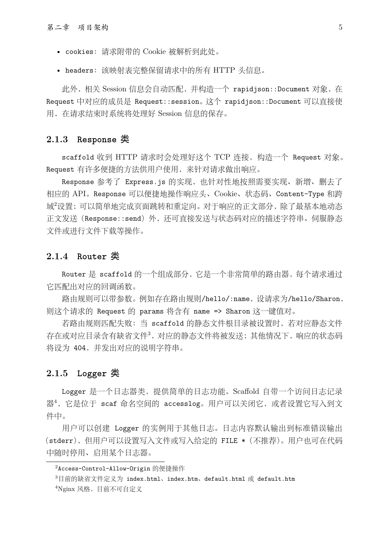- cookies:请求附带的 Cookie 被解析到此处。
- headers:该映射表完整保留请求中的所有 HTTP 头信息。

此外,相关 Session 信息会自动匹配, 并构造一个 rapidjson::Document 对象, 在 Request 中对应的成员是 Request::session。这个 rapidjson::Document 可以直接使 ⽤,在请求结束时系统将处理好 Session 信息的保存。

#### **2.1.3 Response** 类

scaffold 收到 HTTP 请求时会处理好这个 TCP 连接, 构造一个 Request 对象。 Request 有许多便捷的方法供用户使用, 来针对请求做出响应。

Response 参考了 Express.js 的实现,也针对性地按照需要实现、新增、删去了 相应的 API。Response 可以便捷地操作响应头、Cookie、状态码、Content-Type 和跨 域2设置;可以简单地完成页面跳转和重定向。对于响应的正文部分,除了最基本地动态 正⽂发送(Response::send)外,还可直接发送与状态码对应的描述字符串、伺服静态 文件或讲行文件下载等操作。

#### **2.1.4 Router** 类

Router 是 scaffold 的一个组成部分, 它是一个非常简单的路由器, 每个请求通过 它匹配出对应的回调函数。

路由规则可以带参数。例如存在路由规则/hello/:name,设请求为/hello/Sharon, 则这个请求的 Request 的 params 将含有 name => Sharon 这⼀键值对。

若路由规则匹配失败: 当 scaffold 的静态文件根目录被设置时, 若对应静态文件 存在或对应⽬录含有缺省⽂件<sup>3</sup>,对应的静态⽂件将被发送;其他情况下,响应的状态码 将设为 404,并发出对应的说明字符串。

#### **2.1.5 Logger** 类

Logger 是一个日志器类, 提供简单的日志功能。Scaffold 自带一个访问日志记录 器<sup>4</sup>, 它是位于 scaf 命名空间的 accesslog。用户可以关闭它, 或者设置它写入到文 件中。

用户可以创建 Logger 的实例用于其他日志。日志内容默认输出到标准错误输出 (stderr),但用户可以设置写入文件或写入给定的 FILE \* (不推荐)。用户也可在代码 中随时停用、启用某个日志器。

<sup>2</sup>Access-Control-Allow-Origin 的便捷操作

<sup>3</sup>⽬前的缺省⽂件定义为 index.html、index.htm、default.html 或 default.htm

 $4$ Nginx 风格, 目前不可自定义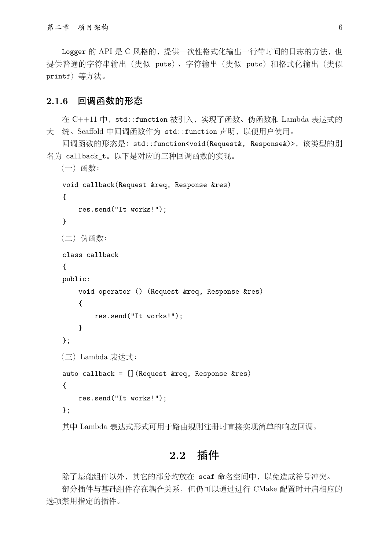Logger 的 API 是 C 风格的, 提供一次性格式化输出一行带时间的日志的方法, 也 提供普通的字符串输出(类似 puts)、字符输出(类似 putc)和格式化输出(类似 printf) 等方法。

#### **2.1.6** 回调函数的形态

在 C++11 中, std::function 被引入, 实现了函数、伪函数和 Lambda 表达式的 大一统。Scaffold 中回调函数作为 std::function 声明, 以便用户使用。

回调函数的形态是: std::function<void(Request&, Response&)>, 该类型的别 名为 callback t。以下是对应的三种回调函数的实现。

```
(⼀)函数:
void callback(Request &req, Response &res)
{
    res.send("It works!");
}
(二) 伪函数:
class callback
{
public:
    void operator () (Request &req, Response &res)
    {
        res.send("It works!");
    }
};
(三)Lambda 表达式:
auto callback = [] (Request &req, Response &res)
{
    res.send("It works!");
};
```
其中 Lambda 表达式形式可用于路由规则注册时直接实现简单的响应回调。

### **2.2** 插件

除了基础组件以外,其它的部分均放在 scaf 命名空间中,以免造成符号冲突。 部分插件与基础组件存在耦合关系,但仍可以通过进行 CMake 配置时开启相应的 选项禁⽤指定的插件。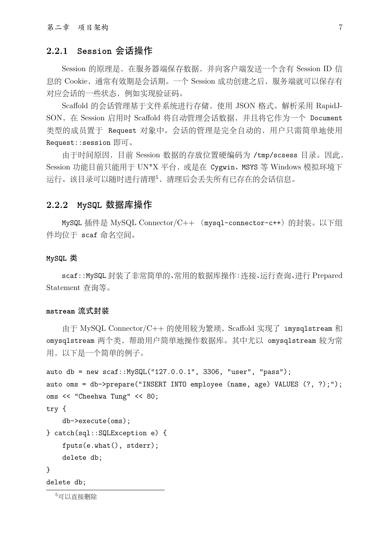#### **2.2.1 Session** 会话操作

Session 的原理是,在服务器端保存数据,并向客户端发送⼀个含有 Session ID 信 息的 Cookie, 通常有效期是会话期。一个 Session 成功创建之后, 服务端就可以保存有 对应会话的一些状态,例如实现验证码。

Scaffold 的会话管理基于文件系统进行存储,使用 JSON 格式。解析采用 RapidJ-SON, 在 Session 启用时 Scaffold 将自动管理会话数据, 并且将它作为一个 Document 类型的成员置于 Request 对象中。会话的管理是完全自动的, 用户只需简单地使用 Request::session 即可。

由于时间原因,目前 Session 数据的存放位置硬编码为 /tmp/scsess 目录。因此, Session 功能目前只能用于 UN\*X 平台, 或是在 Cygwin、MSYS 等 Windows 模拟环境下 运行。该目录可以随时进行清理5,清理后会丢失所有已存在的会话信息。

#### **2.2.2 MySQL** 数据库操作

MySQL 插件是 MySQL Connector/C++ (mysql-connector-c++) 的封装。以下组 件均位于 scaf 命名空间。

#### **MySQL** 类

scaf::MySQL 封装了非常简单的、常用的数据库操作:连接、运行查询、进行 Prepared Statement 查询等。

#### **mstream** 流式封装

由于 MySQL Connector/C++ 的使用较为繁琐, Scaffold 实现了 imysqlstream 和 omysqlstream 两个类,帮助⽤户简单地操作数据库。其中尤以 omysqlstream 较为常 用, 以下是一个简单的例子。

```
auto db = new scaf:: MySQL("127.0.0.1", 3306, "user", "pass");
auto oms = db->prepare("INSERT INTO employee (name, age) VALUES (?, ?);");
oms << "Cheehwa Tung" << 80;
try {
    db->execute(oms);
} catch(sql::SQLException e) {
    fputs(e.what(), stderr);
    delete db;
}
delete db;
```
5可以直接删除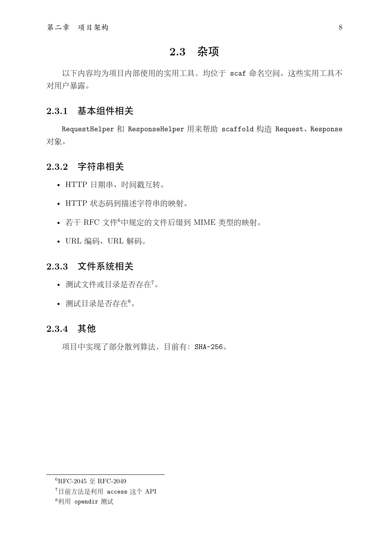## **2.3** 杂项

以下内容均为项目内部使用的实用工具,均位于 scaf 命名空间。这些实用工具不 对用户暴露。

#### **2.3.1** 基本组件相关

RequestHelper 和 ResponseHelper 用来帮助 scaffold 构造 Request、Response 对象。

### **2.3.2** 字符串相关

- HTTP 日期串、时间戳互转。
- HTTP 状态码到描述字符串的映射。
- 若干 RFC 文件<sup>6</sup>中规定的文件后缀到 MIME 类型的映射。
- URL 编码、URL 解码。

#### **2.3.3** 文件系统相关

- 测试文件或目录是否存在7。
- 测试⽬录是否存在<sup>8</sup>。

#### **2.3.4** 其他

项目中实现了部分散列算法,目前有: SHA-256。

 $^6$ RFC-2045  $\Xi$ RFC-2049

<sup>&</sup>lt;sup>7</sup>目前方法是利用 access 这个 API

<sup>&</sup>lt;sup>8</sup>利用 opendir 测试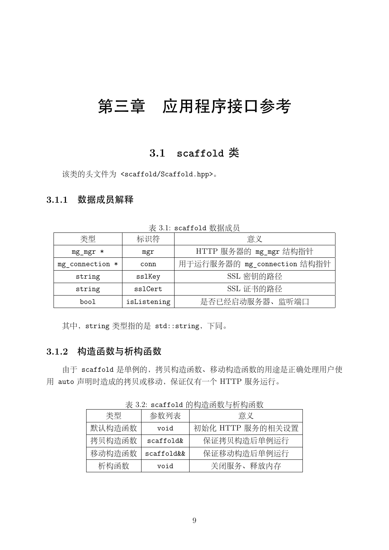# 第三章 应用程序接口参考

## **3.1 scaffold** 类

该类的头文件为 <scaffold/Scaffold.hpp>。

#### **3.1.1** 数据成员解释

类型 ありゃく および おおし おおし おおし 意义 mg\_mgr \* | mgr | HTTP 服务器的 mg\_mgr 结构指针 mg\_connection \* | conn | 用于运行服务器的 mg\_connection 结构指针 string | sslKey | SSL 密钥的路径 string | sslCert | SSL 证书的路径 bool lisListening | 是否已经启动服务器、监听端口

表 3.1: scaffold 数据成员

其中, string 类型指的是 std::string, 下同。

#### **3.1.2** 构造函数与析构函数

由于 scaffold 是单例的,拷贝构造函数、移动构造函数的用途是正确处理用户使 用 auto 声明时造成的拷贝或移动, 保证仅有一个 HTTP 服务运行。

表 3.2: scaffold 的构造函数与析构函数

| 类型     | 参数列表       | 意义               |  |
|--------|------------|------------------|--|
| 默认构造函数 | biov       | 初始化 HTTP 服务的相关设置 |  |
| 拷贝构造函数 | scaffold&  | 保证拷贝构造后单例运行      |  |
| 移动构造函数 | scaffold&& | 保证移动构造后单例运行      |  |
| 析构函数   | void       | 关闭服务、释放内存        |  |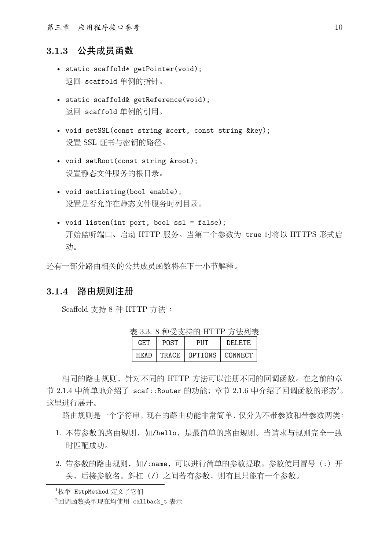第三章 应用程序接⼝参考 10

#### **3.1.3** 公共成员函数

- static scaffold\* getPointer(void); 返回 scaffold 单例的指针。
- static scaffold& getReference(void); 返回 scaffold 单例的引用。
- void setSSL(const string &cert, const string &key); 设置 SSL 证书与密钥的路径。
- void setRoot(const string &root); 设置静态文件服务的根目录。
- void setListing(bool enable); 设置是否允许在静态文件服务时列目录。
- void listen(int port, bool ssl = false); 开始监听端口、启动 HTTP 服务。当第二个参数为 true 时将以 HTTPS 形式启 动。

还有一部分路由相关的公共成员函数将在下一小节解释。

#### **3.1.4** 路由规则注册

Scaffold 支持 8 种 HTTP 方法 $1$ :

| 衣 0.0. 0 俚'文又付印 日1 1日 月'法判衣 |      |                           |         |  |  |
|-----------------------------|------|---------------------------|---------|--|--|
| GET.                        | POST | PUT                       | DELETE. |  |  |
| HF.AD                       |      | TRACE   OPTIONS   CONNECT |         |  |  |

 $\pm$  3.3: 8 种受支持的 HTTP 方法列表

相同的路由规则,针对不同的 HTTP 方法可以注册不同的回调函数。在之前的章 节 2.1.4 中简单地介绍了 scaf::Router 的功能; 章节 2.1.6 中介绍了回调函数的形态 $2<sub>o</sub>$ 这里讲行展开。

路由规则是一个字符串,现在的路由功能非常简单,仅分为不带参数和带参数两类:

- 1. 不带参数的路由规则, 如/hello, 是最简单的路由规则。当请求与规则完全一致 时匹配成功。
- 2. 带参数的路由规则, 如/:name, 可以进行简单的参数提取。参数使用冒号(:) 开 头,后接参数名。斜杠(/)之间若有参数,则有且只能有一个参数。

<sup>1</sup>枚举 HttpMethod 定义了它们

 $2$ 回调函数类型现在均使用 callback t 表示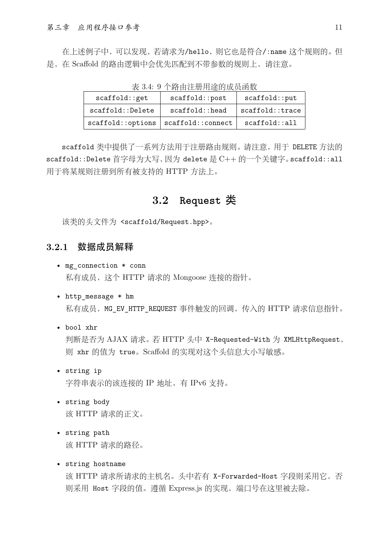在上述例⼦中,可以发现,若请求为/hello,则它也是符合/:name 这个规则的。但 是, 在 Scaffold 的路由逻辑中会优先匹配到不带参数的规则上, 请注意。

| scaffold::get     | scaffold::post    | scaffold:put    |  |  |  |
|-------------------|-------------------|-----------------|--|--|--|
| scaffold::Delete  | scaffold:head     | scaffold::trace |  |  |  |
| scaffold::options | scaffold::connect | scaffold::all   |  |  |  |

 $\pm$  9.4: 0.  $\wedge$   $\uplus$   $\wedge$   $\uplus$   $\uplus$   $\vee$   $\uplus$   $\wedge$   $\uplus$   $\uplus$   $\wedge$   $\uplus$   $\uplus$   $\wedge$   $\uplus$   $\uplus$   $\wedge$   $\uplus$ 

scaffold 类中提供了一系列方法用于注册路由规则。请注意,用于 DELETE 方法的 scaffold::Delete 首字母为大写, 因为 delete 是 C++ 的一个关键字。scaffold::all 用于将某规则注册到所有被支持的 HTTP 方法上。

## **3.2 Request** 类

该类的头文件为 <scaffold/Request.hpp>。

#### **3.2.1** 数据成员解释

- mg\_connection \* conn 私有成员,这个 HTTP 请求的 Mongoose 连接的指针。
- http message \* hm 私有成员, MG\_EV\_HTTP\_REQUEST 事件触发的回调, 传入的 HTTP 请求信息指针。
- bool xhr

判断是否为 AJAX 请求。若 HTTP 头中 X-Requested-With 为 XMLHttpRequest, 则 xhr 的值为 true。Scaffold 的实现对这个头信息⼤⼩写敏感。

- string ip 字符串表示的该连接的 IP 地址, 有 IPv6 支持。
- string body 该 HTTP 请求的正文。
- string path 该 HTTP 请求的路径。
- string hostname

该 HTTP 请求所请求的主机名。头中若有 X-Forwarded-Host 字段则采用它, 否 则采用 Host 字段的值。遵循 Express.js 的实现, 端口号在这里被去除。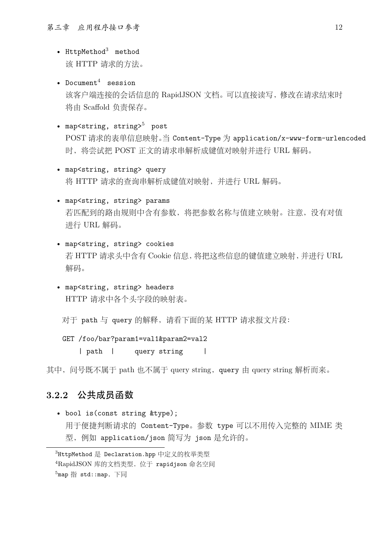- HttpMethod $3$  method 该 HTTP 请求的方法。
- Document<sup>4</sup> session 该客户端连接的会话信息的 RapidJSON 文档。可以直接读写, 修改在请求结束时 将由 Scaffold 负责保存。
- map<string, string> $5$  post POST 请求的表单信息映射。当 Content-Type 为 application/x-www-form-urlencoded 时, 将尝试把 POST 正文的请求串解析成键值对映射并进行 URL 解码。
- map<string, string> query 将 HTTP 请求的查询串解析成键值对映射, 并进行 URL 解码。
- map<string, string> params 若匹配到的路由规则中含有参数,将把参数名称与值建⽴映射。注意,没有对值 进⾏ URL 解码。
- map<string, string> cookies 若 HTTP 请求头中含有 Cookie 信息, 将把这些信息的键值建立映射, 并讲行 URL 解码。
- map<string, string> headers HTTP 请求中各个头字段的映射表。

对于 path 与 query 的解释, 请看下面的某 HTTP 请求报文片段:

GET /foo/bar?param1=val1&param2=val2

| path | query string |

其中, 问号既不属于 path 也不属于 query string, query 由 query string 解析而来。

#### **3.2.2** 公共成员函数

• bool is(const string &type); 用于便捷判断请求的 Content-Type。参数 type 可以不用传入完整的 MIME 类 型,例如 application/json 简写为 json 是允许的。

<sup>3</sup>HttpMethod 是 Declaration.hpp 中定义的枚举类型

<sup>4</sup>RapidJSON 库的文档类型, 位于 rapidjson 命名空间

 $^5$ map 指 std::map, 下同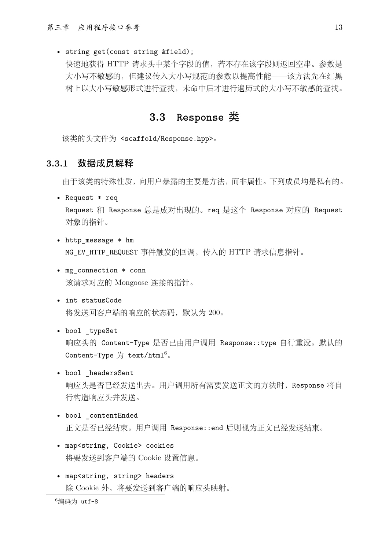#### • string get(const string &field);

快速地获得 HTTP 请求头中某个字段的值,若不存在该字段则返回空串。参数是 大小写不敏感的,但建议传入大小写规范的参数以提高性能——该方法先在红黑 树上以⼤⼩写敏感形式进⾏查找,未命中后才进⾏遍历式的⼤⼩写不敏感的查找。

### **3.3 Response** 类

该类的头文件为 <scaffold/Response.hpp>。

#### **3.3.1** 数据成员解释

由于该类的特殊性质,向⽤户暴露的主要是⽅法,⽽⾮属性。下列成员均是私有的。

- Request \* req Request 和 Response 总是成对出现的。req 是这个 Response 对应的 Request 对象的指针。
- http message \* hm MG EV HTTP REQUEST 事件触发的回调, 传入的 HTTP 请求信息指针。
- mg connection \* conn 该请求对应的 Mongoose 连接的指针。
- int statusCode 将发送回客户端的响应的状态码,默认为 200。
- bool \_typeSet 响应头的 Content-Type 是否已由⽤户调⽤ Response::type ⾃⾏重设。默认的 Content-Type  $\overline{\mathcal{H}}$  text/html<sup>6</sup>.
- bool \_headersSent 响应头是否已经发送出去。用户调用所有需要发送正文的方法时, Response 将自 ⾏构造响应头并发送。
- bool \_contentEnded 正文是否已经结束。用户调用 Response::end 后则视为正文已经发送结束。
- map<string, Cookie> cookies 将要发送到客户端的 Cookie 设置信息。
- map<string, string> headers 除 Cookie 外,将要发送到客户端的响应头映射。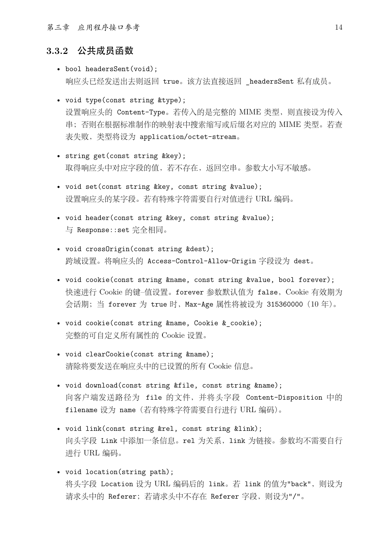第三章 应用程序接口参考 14

#### **3.3.2** 公共成员函数

- bool headersSent(void); 响应头已经发送出去则返回 true。该⽅法直接返回 \_headersSent 私有成员。
- void type(const string &type); 设置响应头的 Content-Type。若传入的是完整的 MIME 类型, 则直接设为传入 串;否则在根据标准制作的映射表中搜索缩写或后缀名对应的 MIME 类型。若查 表失败,类型将设为 application/octet-stream。
- string get(const string &key); 取得响应头中对应字段的值,若不存在,返回空串。参数大小写不敏感。
- void set(const string &key, const string &value); 设置响应头的某字段。若有特殊字符需要自行对值进行 URL 编码。
- void header(const string &key, const string &value); 与 Response::set 完全相同。
- void crossOrigin(const string &dest); 跨域设置。将响应头的 Access-Control-Allow-Origin 字段设为 dest。
- void cookie(const string &name, const string &value, bool forever); 快速进行 Cookie 的键–值设置。forever 参数默认值为 false, Cookie 有效期为 会话期; 当 forever 为 true 时, Max-Age 属性将被设为 315360000 (10年)。
- void cookie(const string &name, Cookie &\_cookie); 完整的可⾃定义所有属性的 Cookie 设置。
- void clearCookie(const string &name); 清除将要发送在响应头中的已设置的所有 Cookie 信息。
- void download(const string &file, const string &name); 向客户端发送路径为 file 的⽂件,并将头字段 Content-Disposition 中的 filename 设为 name(若有特殊字符需要⾃⾏进⾏ URL 编码)。
- void link(const string &rel, const string &link); 向头字段 Link 中添加一条信息。rel 为关系, link 为链接。参数均不需要自行 进⾏ URL 编码。
- void location(string path); 将头字段 Location 设为 URL 编码后的 link。若 link 的值为"back", 则设为 请求头中的 Referer;若请求头中不存在 Referer 字段,则设为"/"。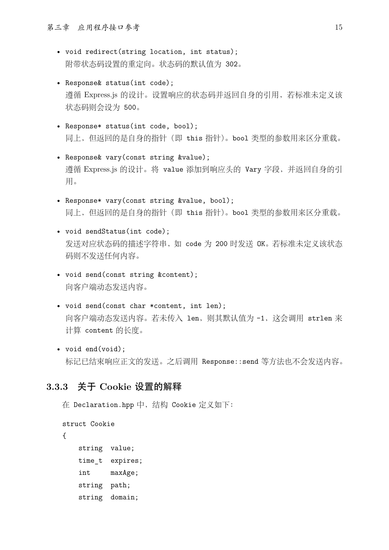- void redirect(string location, int status); 附带状态码设置的重定向。状态码的默认值为 302。
- Response& status(int code); 遵循 Express.js 的设计。设置响应的状态码并返回自身的引用, 若标准未定义该 状态码则会设为 500。
- Response\* status(int code, bool); 同上,但返回的是自身的指针(即 this 指针)。bool 类型的参数用来区分重载。
- Response& vary(const string &value); 遵循 Express.js 的设计。将 value 添加到响应头的 Vary 字段, 并返回自身的引 用。
- Response\* vary(const string &value, bool); 同上,但返回的是自身的指针(即 this 指针)。bool 类型的参数用来区分重载。
- void sendStatus(int code); 发送对应状态码的描述字符串, 如 code 为 200 时发送 OK。若标准未定义该状态 码则不发送任何内容。
- void send(const string &content); 向客户端动态发送内容。
- void send(const char \*content, int len); 向客户端动态发送内容。若未传入 len, 则其默认值为 -1, 这会调用 strlen 来 计算 content 的长度。
- void end(void); 标记已结束响应正文的发送。之后调用 Response::send 等方法也不会发送内容。

#### **3.3.3** 关于 **Cookie** 设置的解释

```
在 Declaration.hpp 中,结构 Cookie 定义如下:
struct Cookie
{
   string value;
   time t expires;
   int maxAge;
   string path;
   string domain;
```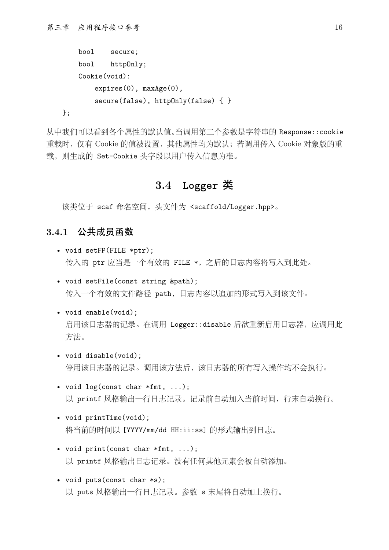```
bool secure;
bool httpOnly;
Cookie(void):
   expires(0), maxAge(0),
   secure(false), httpOnly(false) { }
```
};

从中我们可以看到各个属性的默认值。当调用第二个参数是字符串的 Response::cookie 重载时,仅有 Cookie 的值被设置,其他属性均为默认;若调⽤传⼊ Cookie 对象版的重 载, 则生成的 Set-Cookie 头字段以用户传入信息为准。

## **3.4 Logger** 类

该类位于 scaf 命名空间, 头文件为 <scaffold/Logger.hpp>。

#### **3.4.1** 公共成员函数

- void setFP(FILE \*ptr); 传入的 ptr 应当是一个有效的 FILE \*, 之后的日志内容将写入到此处。
- void setFile(const string &path); 传入一个有效的文件路径 path, 日志内容以追加的形式写入到该文件。
- void enable(void); 启用该日志器的记录。在调用 Logger::disable 后欲重新启用日志器, 应调用此 方法。
- void disable(void); 停用该日志器的记录。调用该方法后,该日志器的所有写入操作均不会执行。
- void  $log(const char *fmt, ...);$ 以 printf 风格输出一行日志记录。记录前自动加入当前时间, 行末自动换行。
- void printTime(void); 将当前的时间以 [YYYY/mm/dd HH:ii:ss] 的形式输出到日志。
- void print(const char \*fmt, ...); 以 printf 风格输出日志记录。没有任何其他元素会被自动添加。
- void puts(const char \*s); 以 puts 风格输出一行日志记录。参数 s 末尾将自动加上换行。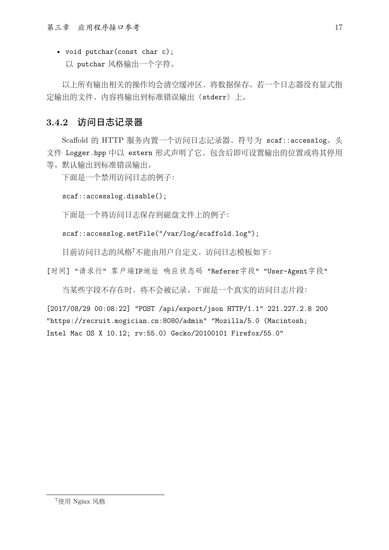• void putchar(const char c); 以 putchar 风格输出一个字符。

以上所有输出相关的操作均会清空缓冲区,将数据保存。若一个日志器没有显式指 定输出的⽂件,内容将输出到标准错误输出(stderr)上。

## **3.4.2** 访问日志记录器

Scaffold 的 HTTP 服务内置⼀个访问⽇志记录器,符号为 scaf::accesslog。头 文件 Logger.hpp 中以 extern 形式声明了它, 包含后即可设置输出的位置或将其停用 等。默认输出到标准错误输出。

下面是一个禁用访问日志的例子:

```
scaf::accesslog.disable();
```
下面是一个将访问日志保存到磁盘文件上的例子:

```
scaf::accesslog.setFile("/var/log/scaffold.log");
```
目前访问日志的风格7不能由用户自定义。访问日志模板如下:

[时间] "请求行" 客户端IP地址 响应状态码 "Referer字段" "User-Agent字段"

当某些字段不存在时,将不会被记录。下面是一个真实的访问日志片段:

[2017/08/29 00:08:22] "POST /api/export/json HTTP/1.1" 221.227.2.8 200 "https://recruit.mogician.cn:8080/admin" "Mozilla/5.0 (Macintosh; Intel Mac OS X 10.12; rv:55.0) Gecko/20100101 Firefox/55.0"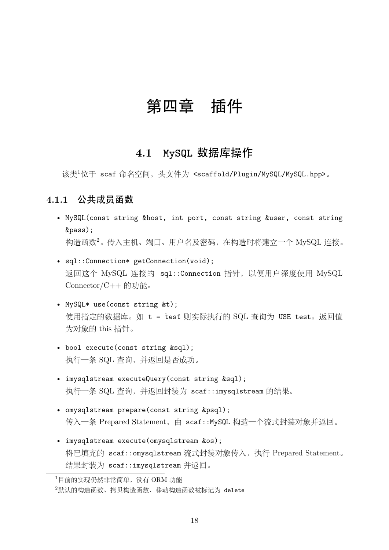# 第四章 插件

# **4.1 MySQL** 数据库操作

该类<sup>1</sup>位于 scaf 命名空间, 头文件为 <scaffold/Plugin/MySQL/MySQL.hpp>。

### **4.1.1** 公共成员函数

- MySQL(const string &host, int port, const string &user, const string &pass); 构造函数<sup>2</sup>。传入主机、端口、用户名及密码, 在构造时将建立一个 MySQL 连接。
- sql::Connection\* getConnection(void); 返回这个 MySQL 连接的 sql::Connection 指针,以便⽤户深度使⽤ MySQL Connector/C++ 的功能。
- MySQL\* use(const string &t); 使用指定的数据库。如 t = test 则实际执行的 SQL 查询为 USE test。返回值 为对象的 this 指针。
- bool execute(const string &sql); 执行一条 SQL 查询, 并返回是否成功。
- imysqlstream executeQuery(const string &sql); 执行一条 SQL 查询, 并返回封装为 scaf::imysqlstream 的结果。
- omysqlstream prepare(const string &psql); 传入一条 Prepared Statement, 由 scaf::MySQL 构造一个流式封装对象并返回。
- imysqlstream execute(omysqlstream &os); 将已填充的 scaf::omysqlstream 流式封装对象传入, 执行 Prepared Statement。 结果封装为 scaf::imysqlstream 并返回。

<sup>1</sup>目前的实现仍然非常简单,没有 ORM 功能

<sup>2</sup>默认的构造函数、拷贝构造函数、移动构造函数被标记为 delete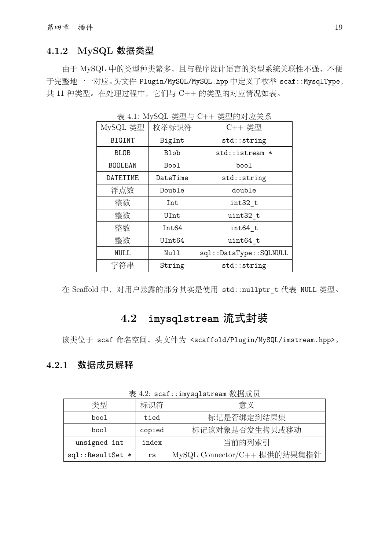## **4.1.2 MySQL** 数据类型

由于 MySQL 中的类型种类繁多,且与程序设计语⾔的类型系统关联性不强,不便 于完整地一一对应。头文件 Plugin/MySQL/MySQL.hpp 中定义了枚举 scaf::MysqlType, 共 11 种类型。在处理过程中, 它们与 C++ 的类型的对应情况如表。

| MySQL 类型       | 枚举标识符       | C++ 类型                 |
|----------------|-------------|------------------------|
| BIGINT         | BigInt      | std::string            |
| <b>BLOB</b>    | <b>Blob</b> | std::istream *         |
| <b>BOOLEAN</b> | Bool        | bool                   |
| DATETIME       | DateTime    | std::string            |
| 浮点数            | Double      | double                 |
| 整数             | Int         | int32 t                |
| 整数             | UInt        | uint32 t               |
| 整数             | Int64       | int64 t                |
| 整数             | UInt64      | uint64 t               |
| <b>NULL</b>    | Null        | sql::DataType::SQLNULL |
| 字符串<br>String  |             | std::string            |

表 4.1: MySQL 类型与 C++ 类型的对应关系

在 Scaffold 中, 对用户暴露的部分其实是使用 std::nullptr\_t 代表 NULL 类型。

# **4.2 imysqlstream** 流式封装

该类位于 scaf 命名空间, 头文件为 <scaffold/Plugin/MySQL/imstream.hpp>。

#### **4.2.1** 数据成员解释

| 类型               | 标识符    | 意义                           |  |
|------------------|--------|------------------------------|--|
| bool             | tied   | 标记是否绑定到结果集                   |  |
| bool             | copied | 标记该对象是否发生拷贝或移动               |  |
| unsigned int     | index  | 当前的列索引                       |  |
| sql::ResultSet * | rs     | MySQL Connector/C++ 提供的结果集指针 |  |

表 4.2: scaf::imysqlstream 数据成员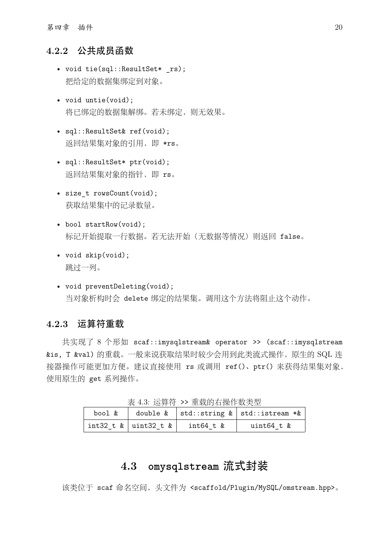#### **4.2.2** 公共成员函数

- void tie(sql::ResultSet\* rs); 把给定的数据集绑定到对象。
- void untie(void); 将已绑定的数据集解绑。若未绑定, 则无效果。
- sql::ResultSet& ref(void); 返回结果集对象的引用, 即 \*rs。
- sql::ResultSet\* ptr(void); 返回结果集对象的指针,即 rs。
- size t rowsCount(void); 获取结果集中的记录数量。
- bool startRow(void); 标记开始提取一行数据。若无法开始(无数据等情况)则返回 false。
- void skip(void); 跳过一列。
- void preventDeleting(void); 当对象析构时会 delete 绑定的结果集。调用这个方法将阻止这个动作。

#### **4.2.3** 运算符重载

共实现了 8 个形如 scaf::imysqlstream& operator >> (scaf::imysqlstream &is, T &val) 的重载。⼀般来说获取结果时较少会⽤到此类流式操作,原⽣的 SQL 连 接器操作可能更加方便。建议直接使用 rs 或调用 ref()、ptr() 来获得结果集对象, 使用原生的 get 系列操作。

| bool & |                              |                | double $\&$   std::string $\&$   std::istream * $\&$ |
|--------|------------------------------|----------------|------------------------------------------------------|
|        | int32 t $\&$   uint32 t $\&$ | $int64$ t $\&$ | uint64 t &                                           |

主 4.3: 法管阵 >> 重裁的右握作数米刑

# **4.3 omysqlstream** 流式封装

该类位于 scaf 命名空间, 头文件为 <scaffold/Plugin/MySQL/omstream.hpp>。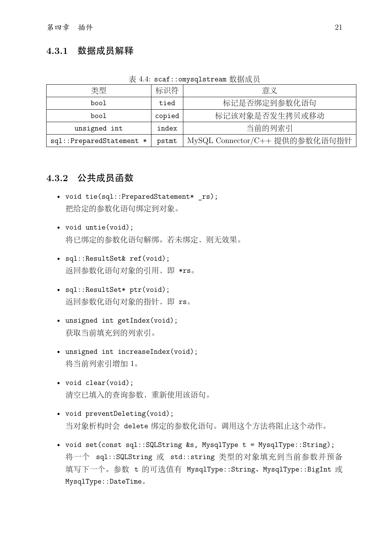#### **4.3.1** 数据成员解释

|  | 表 4.4: scaf::omysqlstream 数据成员 |  |
|--|--------------------------------|--|
|  |                                |  |

| 类型                       | 标识符                  | 意义                             |  |
|--------------------------|----------------------|--------------------------------|--|
| bool                     | 标记是否绑定到参数化语句<br>tied |                                |  |
| bool                     | copied               | 标记该对象是否发生拷贝或移动                 |  |
| unsigned int             | index                | 当前的列索引                         |  |
| sql::PreparedStatement * | pstmt                | MySQL Connector/C++ 提供的参数化语句指针 |  |

#### **4.3.2** 公共成员函数

- void tie(sql::PreparedStatement\* rs); 把给定的参数化语句绑定到对象。
- void untie(void); 将已绑定的参数化语句解绑。若未绑定,则无效果。
- sql::ResultSet& ref(void); 返回参数化语句对象的引用, 即 \*rs。
- sql::ResultSet\* ptr(void); 返回参数化语句对象的指针,即 rs。
- unsigned int getIndex(void); 获取当前填充到的列索引。
- unsigned int increaseIndex(void); 将当前列索引增加 1。
- void clear(void); 清空已填入的查询参数,重新使用该语句。
- void preventDeleting(void); 当对象析构时会 delete 绑定的参数化语句。调用这个方法将阻止这个动作。
- void set(const sql::SQLString &s, MysqlType t = MysqlType::String); 将一个 sql::SQLString 或 std::string 类型的对象填充到当前参数并预备 填写下一个。参数 t 的可选值有 MysqlType::String、MysqlType::BigInt 或 MysqlType::DateTime。